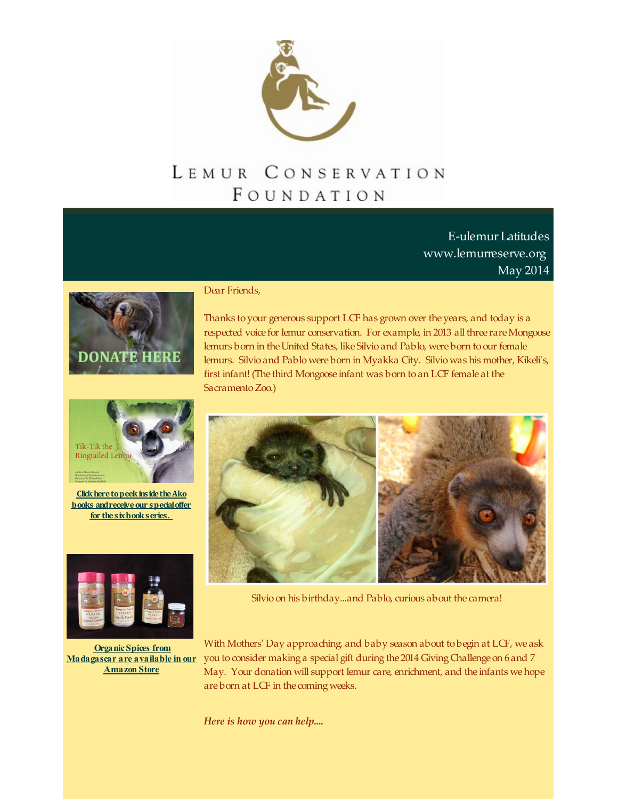

# LEMUR CONSERVATION FOUNDATION

E-ulemur Latitudes [www.lemurreserve.org](http://www.lemurreserve.org) May 2014



Tik-Tik the Ringtailed Lemu

**Click here to peek inside the Ako books andreceiveour specialoffer for thesixbookseries.**



**Organic Spices from [Madagascar](http://r20.rs6.net/tn.jsp?f=001pfBfBx3s9QxCDIF3I_0iNHbe2dJs7E_dQXez5Xn1aXJQxBFjcf7U42XK6g96E9CdxhNYQS34N0hmBDaL-mx_XRuyGJOIeHZ-BC8WZ7w4-F6k_GMu49FrKUMyZf6kzQsO0VoIYlWC_vY5tngphGuWF9ZhI0o-m4aga2oE_e_3gpq2Hw8NiSwjtEfW2A__aPTI&c=&ch=) are available in our Amazon Store**

#### Dear Friends,

Thanks to your generous support LCF has grown over the years, and today is a respected voice for lemur conservation. For example, in 2013 all three rare Mongoose lemurs born in the United States, like Silvio and Pablo, were born to our female lemurs. Silvio and Pablo were born in Myakka City. Silvio was his mother, Kikeli's, first infant! (The third Mongoose infant was born to an LCF female at the Sacramento Zoo.)



Silvio on his birthday...and Pablo, curious about the camera!

With Mothers' Day approaching, and baby season about to begin at LCF, we ask you to consider making a special gift during the 2014 Giving Challenge on 6 and 7 May. Your donation will support lemur care, enrichment, and the infants wehope are born at LCF in the coming weeks.

*Here is how you can help....*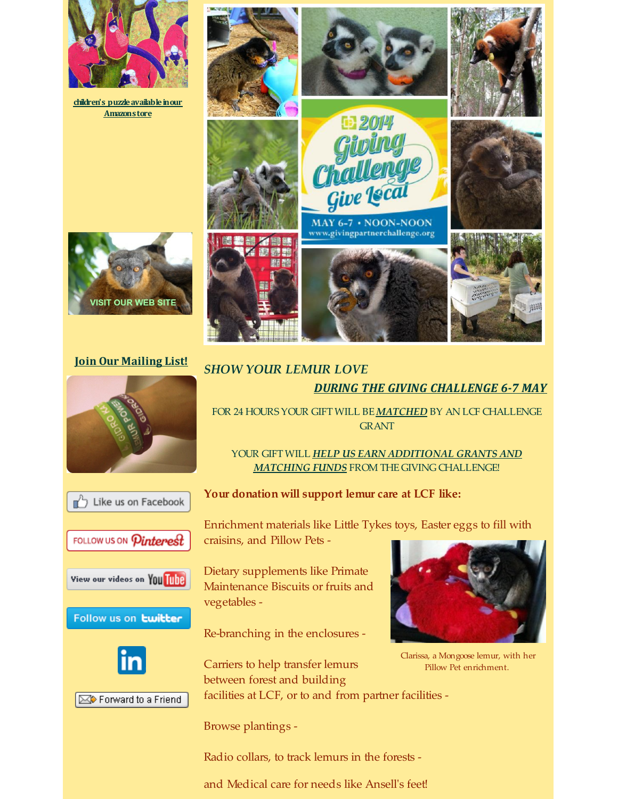

### **Join Our [Mailing](http://visitor.r20.constantcontact.com/email.jsp?m=1110407556333) List!**















## *SHOW YOUR LEMUR LOVE DURING THE GIVING [CHALLENGE](http://r20.rs6.net/tn.jsp?f=001pfBfBx3s9QxCDIF3I_0iNHbe2dJs7E_dQXez5Xn1aXJQxBFjcf7U4wNKeY8RRPbAWXnhiPYVMgLAYKDQ_wee7e1ssrg7tEeMM8sTUyqvrZaF_UCLFhQ_ILmX3UxNgQNHDDayDqYBLjgtXwmisCOI6M-d2UsNlu1v1bFsrWvjodos7ZrBD6xKwQBchNLbtD-bJvWav01idelUGxmZMKKG95QGYAWH2tm76SQhawdZdrlVm9DKtXJOdrtiphnWxMzwSe33IGvpVC1TGHxmYMjOj8CwCkR4O9dlE9w4x_O-l2qhzgK5uMGT3geNUC0WIAQDfwDI-tw2cC0uReiBjpvadg==&c=&ch=) 6-7 MAY*

FOR 24 HOURS YOUR GIFTWILL BE *MATCHED* BY AN LCF CHALLENGE GRANT

YOUR GIFTWILL *HELP US EARN ADDITIONAL GRANTS AND MATCHING FUNDS* FROM THE GIVING CHALLENGE!

### **Your donation will support lemur care at LCF like:**

Enrichment materials like Little Tykes toys, Easter eggs to fill with craisins, and Pillow Pets -

Dietary supplements like Primate Maintenance Biscuits or fruits and vegetables -

Re-branching in the enclosures -



Clarissa, a Mongoose lemur, with her Pillow Pet enrichment.

Carriers to help transfer lemurs between forest and building

facilities at LCF, or to and from partner facilities -

Browse plantings -

Radio collars, to track lemurs in the forests -

and Medical care for needs like Ansell's feet!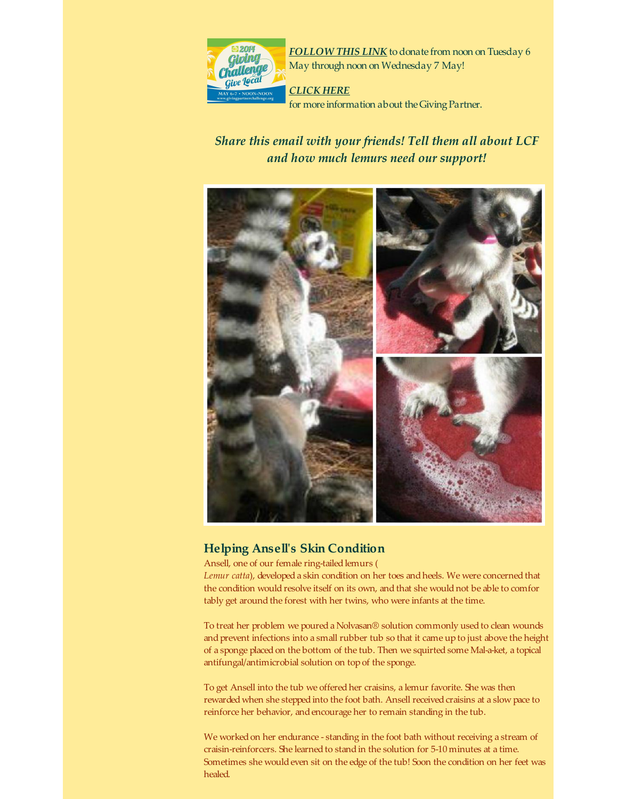

**[FOLLOW](http://r20.rs6.net/tn.jsp?f=001pfBfBx3s9QxCDIF3I_0iNHbe2dJs7E_dQXez5Xn1aXJQxBFjcf7U407NhFe-PTrnWSSR-RAKrEobLhGWjf83ugShwuzidNDpyZn_wi4zsb7KTJZlfPnIe0nHgyHIKtXYdUqcaJ3dHgaYW_ydoyuqT62P7VzU7iJRXmqyaGfnQ64Z3r6W8GnSC6SGpyx6k3Xt&c=&ch=) THIS LINK** to donate from noon on Tuesday 6 May through noon on Wednesday 7 May!

*[CLICK](http://r20.rs6.net/tn.jsp?f=001pfBfBx3s9QxCDIF3I_0iNHbe2dJs7E_dQXez5Xn1aXJQxBFjcf7U4wNKeY8RRPbAWXnhiPYVMgLAYKDQ_wee7e1ssrg7tEeMM8sTUyqvrZaF_UCLFhQ_ILmX3UxNgQNHDDayDqYBLjgtXwmisCOI6M-d2UsNlu1v1bFsrWvjodos7ZrBD6xKwQBchNLbtD-bJvWav01idelUGxmZMKKG95QGYAWH2tm76SQhawdZdrlVm9DKtXJOdrtiphnWxMzwSe33IGvpVC1TGHxmYMjOj8CwCkR4O9dlE9w4x_O-l2qhzgK5uMGT3geNUC0WIAQDfwDI-tw2cC0uReiBjpvadg==&c=&ch=) HERE* for more information about the Giving Partner.

## *Share this email with your friends! Tell them all about LCF and how much lemurs need our support!*



### **Helping Ansell's Skin Condition**

Ansell, one of our female ring-tailed lemurs (

Lemur catta), developed a skin condition on her toes and heels. We were concerned that the condition would resolve itself on its own, and that she would not be able to comfor tably get around the forest with her twins, who were infants at the time.

To treat her problem we poured a Nolvasan® solution commonly used to clean wounds and prevent infections into a small rubber tub so that it came up to just above the height of a sponge placed on the bottom of the tub. Then we squirted some Mal-a-ket, a topical antifungal/antimicrobial solution on top of the sponge.

To get Ansell into the tub we offeredher craisins, alemur favorite. She was then rewarded when she stepped into the foot bath. Ansell received craisins at a slow pace to reinforce her behavior, andencourage her to remain standing in the tub.

We worked on her endurance - standing in the foot bath without receiving a stream of craisin-reinforcers. She learned to stand in the solution for 5-10 minutes at a time. Sometimes she would even sit on the edge of the tub! Soon the condition on her feet was healed.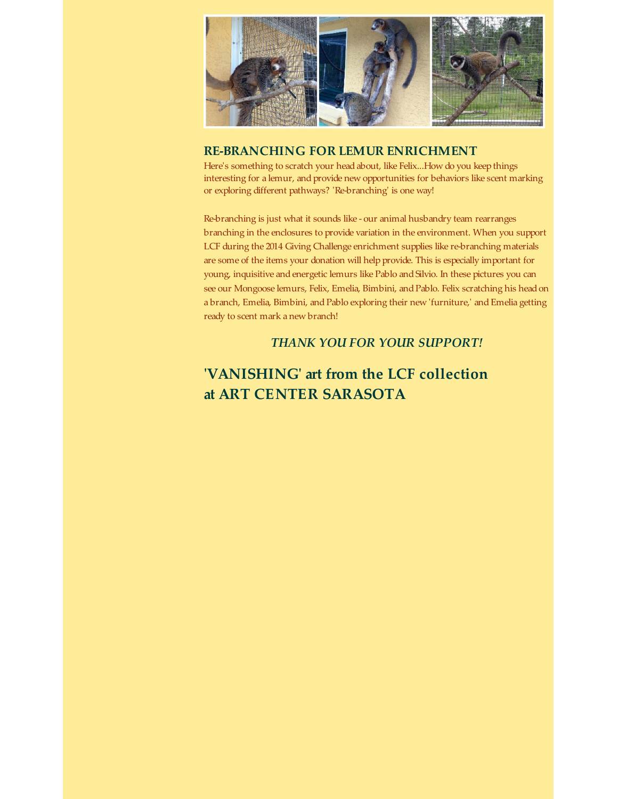

#### **RE-BRANCHING FOR LEMUR ENRICHMENT**

Here's something to scratch your head about, like Felix...How do you keep things interesting for a lemur, and provide new opportunities for behaviors like scent marking or exploring different pathways? 'Re-branching' is one way!

Re-branching is just what it sounds like - our animal husbandry team rearranges branching in the enclosures to provide variation in the environment. When you support LCF during the 2014 Giving Challenge enrichment supplies like re-branching materials are some of the items your donation will help provide. This is especially important for young, inquisitive and energetic lemurs like Pablo and Silvio. In these pictures you can see our Mongoose lemurs, Felix, Emelia, Bimbini, and Pablo. Felix scratching his head on a branch, Emelia, Bimbini, and Pablo exploring their new 'furniture,' and Emelia getting ready to scent mark a new branch!

## *THANK YOU FOR YOUR SUPPORT!*

## **'VANISHING' art from the LCF collection at ART CENTER SARASOTA**